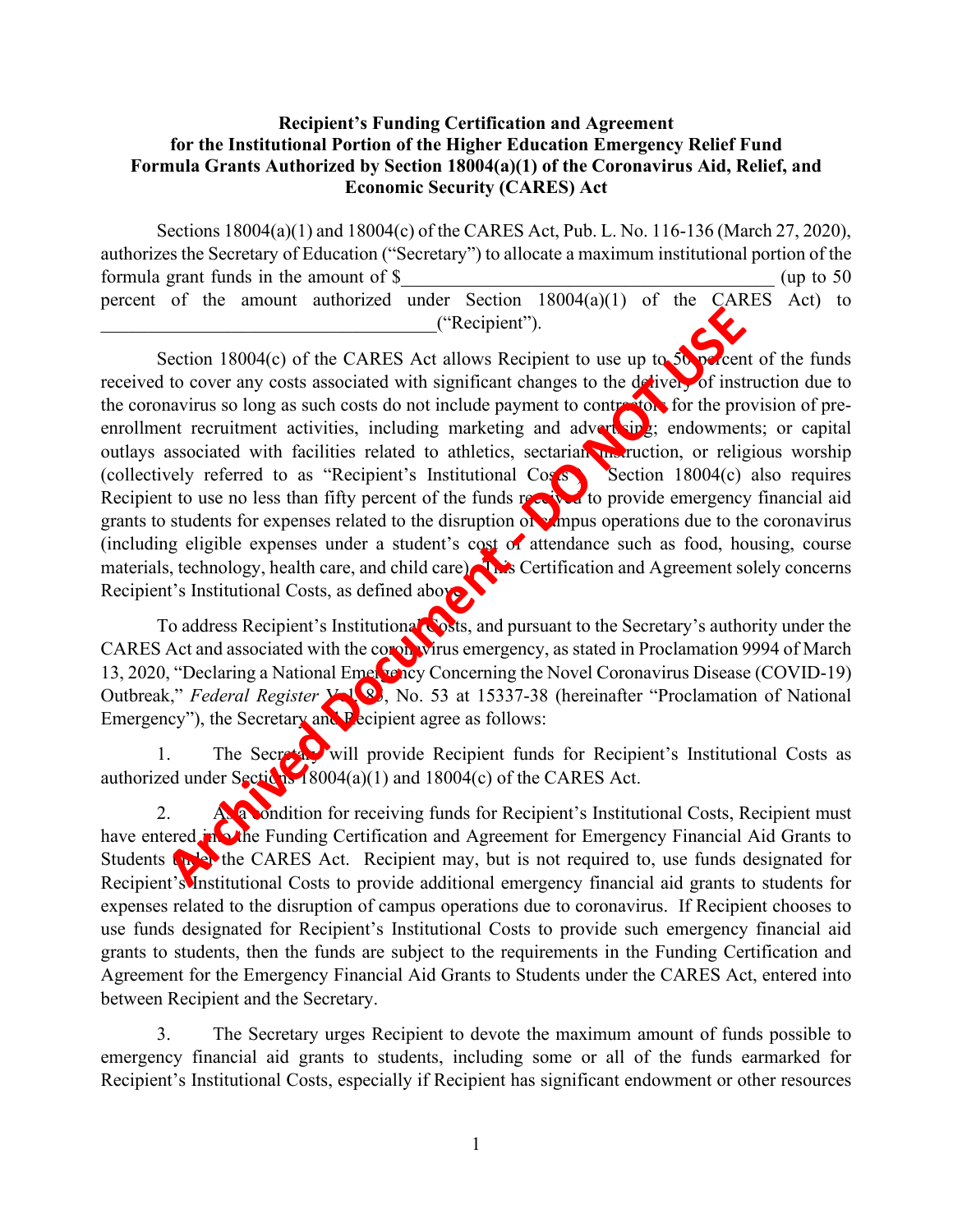## **Economic Security (CARES) Act Recipient's Funding Certification and Agreement for the Institutional Portion of the Higher Education Emergency Relief Fund Formula Grants Authorized by Section 18004(a)(1) of the Coronavirus Aid, Relief, and**

 Sections 18004(a)(1) and 18004(c) of the CARES Act, Pub. L. No. 116-136 (March 27, 2020), formula grant funds in the amount of \$\_\_\_\_\_\_\_\_\_\_\_\_\_\_\_\_\_\_\_\_\_\_\_\_\_\_\_\_\_\_\_\_\_\_\_\_\_\_\_\_ (up to 50 authorizes the Secretary of Education ("Secretary") to allocate a maximum institutional portion of the percent of the amount authorized under Section 18004(a)(1) of the CARES Act) to \_\_\_\_\_\_\_\_\_\_\_\_\_\_\_\_\_\_\_\_\_\_\_\_\_\_\_\_\_\_\_\_\_\_\_\_("Recipient").

Section 18004(c) also requires (including eligible expenses under a student's cost of attendance such as food, housing, course materials, technology, health care, and child care). This Certification and Agreement solely concerns Section 18004(c) of the CARES Act allows Recipient to use up to 50 percent of the funds received to cover any costs associated with significant changes to the delivery of instruction due to the coronavirus so long as such costs do not include payment to contractors for the provision of preenrollment recruitment activities, including marketing and advertising; endowments; or capital outlays associated with facilities related to athletics, sectarian instruction, or religious worship (collectively referred to as "Recipient's Institutional Costs"). Recipient to use no less than fifty percent of the funds received to provide emergency financial aid grants to students for expenses related to the disruption of campus operations due to the coronavirus Recipient's Institutional Costs, as defined above **Example 18**<br> **Archived Conserved Conserved Conserved Conserved Conserved Conserved Conserved Conserved Conserved Conserved Conserved Conserved Conserved Section of the probabilities including mathematical conserved and a** 

To address Recipient's Institutional Costs, and pursuant to the Secretary's authority under the CARES Act and associated with the coronavirus emergency, as stated in Proclamation 9994 of March 13, 2020, "Declaring a National Emergian Concerning the Novel Coronavirus Disease (COVID-19) Outbreak," *Federal Register* **Vol. 8**, No. 53 at 15337-38 (hereinafter "Proclamation of National Emergency"), the Secretary and Pecipient agree as follows:

1. The Secretary will provide Recipient funds for Recipient's Institutional Costs as authorized under Sections 18004(a)(1) and 18004(c) of the CARES Act.

have entered in the Funding Certification and Agreement for Emergency Financial Aid Grants to Students the Puller the CARES Act. Recipient may, but is not required to, use funds designated for use funds designated for Recipient's Institutional Costs to provide such emergency financial aid A. a condition for receiving funds for Recipient's Institutional Costs, Recipient must Recipient's Institutional Costs to provide additional emergency financial aid grants to students for expenses related to the disruption of campus operations due to coronavirus. If Recipient chooses to grants to students, then the funds are subject to the requirements in the Funding Certification and Agreement for the Emergency Financial Aid Grants to Students under the CARES Act, entered into between Recipient and the Secretary.

 Recipient's Institutional Costs, especially if Recipient has significant endowment or other resources 3. The Secretary urges Recipient to devote the maximum amount of funds possible to emergency financial aid grants to students, including some or all of the funds earmarked for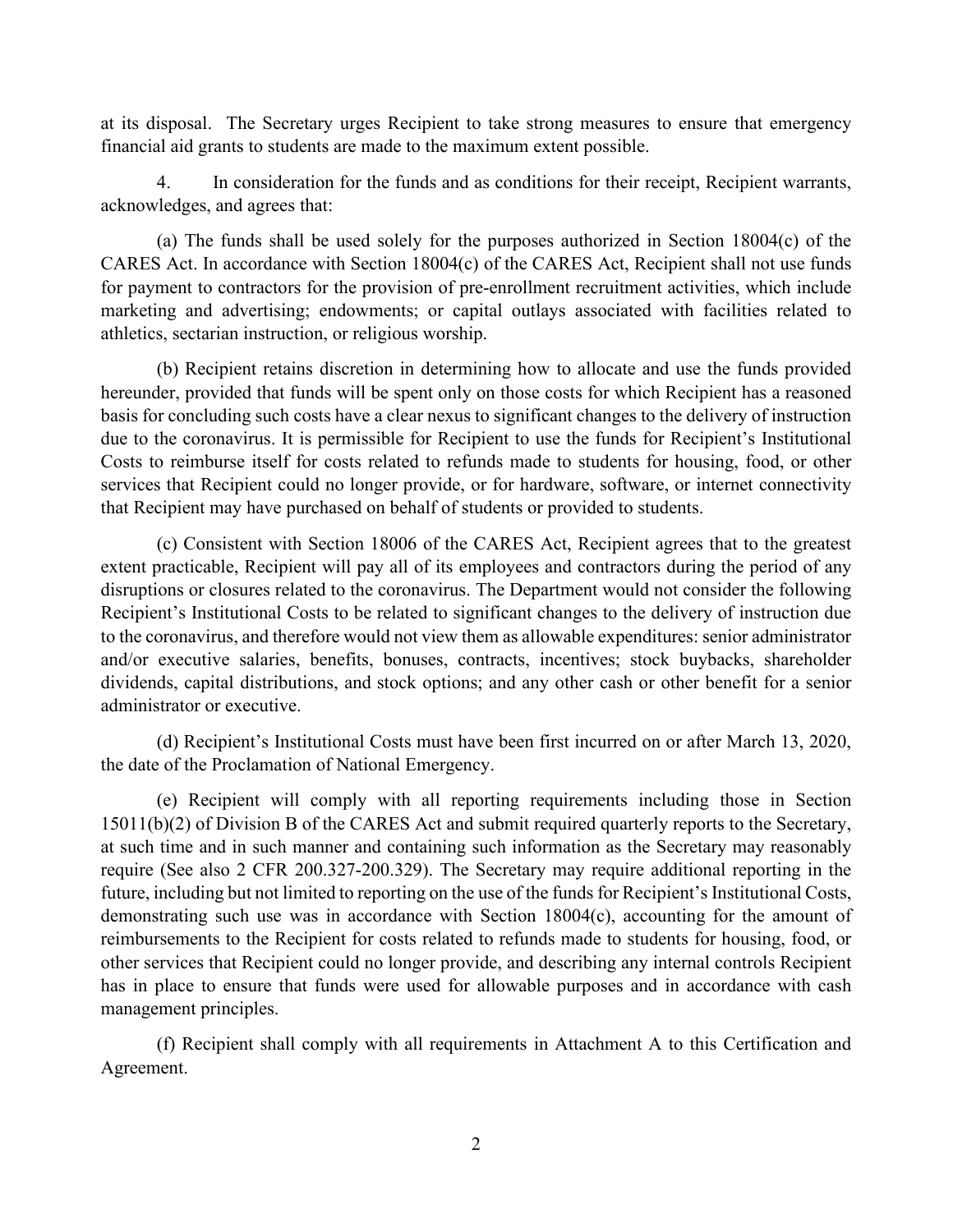financial aid grants to students are made to the maximum extent possible. at its disposal. The Secretary urges Recipient to take strong measures to ensure that emergency

 acknowledges, and agrees that: 4. In consideration for the funds and as conditions for their receipt, Recipient warrants,

 (a) The funds shall be used solely for the purposes authorized in Section 18004(c) of the CARES Act. In accordance with Section 18004(c) of the CARES Act, Recipient shall not use funds for payment to contractors for the provision of pre-enrollment recruitment activities, which include marketing and advertising; endowments; or capital outlays associated with facilities related to athletics, sectarian instruction, or religious worship.

 services that Recipient could no longer provide, or for hardware, software, or internet connectivity (b) Recipient retains discretion in determining how to allocate and use the funds provided hereunder, provided that funds will be spent only on those costs for which Recipient has a reasoned basis for concluding such costs have a clear nexus to significant changes to the delivery of instruction due to the coronavirus. It is permissible for Recipient to use the funds for Recipient's Institutional Costs to reimburse itself for costs related to refunds made to students for housing, food, or other that Recipient may have purchased on behalf of students or provided to students.

 extent practicable, Recipient will pay all of its employees and contractors during the period of any to the coronavirus, and therefore would not view them as allowable expenditures: senior administrator dividends, capital distributions, and stock options; and any other cash or other benefit for a senior (c) Consistent with Section 18006 of the CARES Act, Recipient agrees that to the greatest disruptions or closures related to the coronavirus. The Department would not consider the following Recipient's Institutional Costs to be related to significant changes to the delivery of instruction due and/or executive salaries, benefits, bonuses, contracts, incentives; stock buybacks, shareholder administrator or executive.

(d) Recipient's Institutional Costs must have been first incurred on or after March 13, 2020, the date of the Proclamation of National Emergency.

 demonstrating such use was in accordance with Section 18004(c), accounting for the amount of other services that Recipient could no longer provide, and describing any internal controls Recipient (e) Recipient will comply with all reporting requirements including those in Section 15011(b)(2) of Division B of the CARES Act and submit required quarterly reports to the Secretary, at such time and in such manner and containing such information as the Secretary may reasonably require (See also 2 CFR 200.327-200.329). The Secretary may require additional reporting in the future, including but not limited to reporting on the use of the funds for Recipient's Institutional Costs, reimbursements to the Recipient for costs related to refunds made to students for housing, food, or has in place to ensure that funds were used for allowable purposes and in accordance with cash management principles.

(f) Recipient shall comply with all requirements in Attachment A to this Certification and Agreement.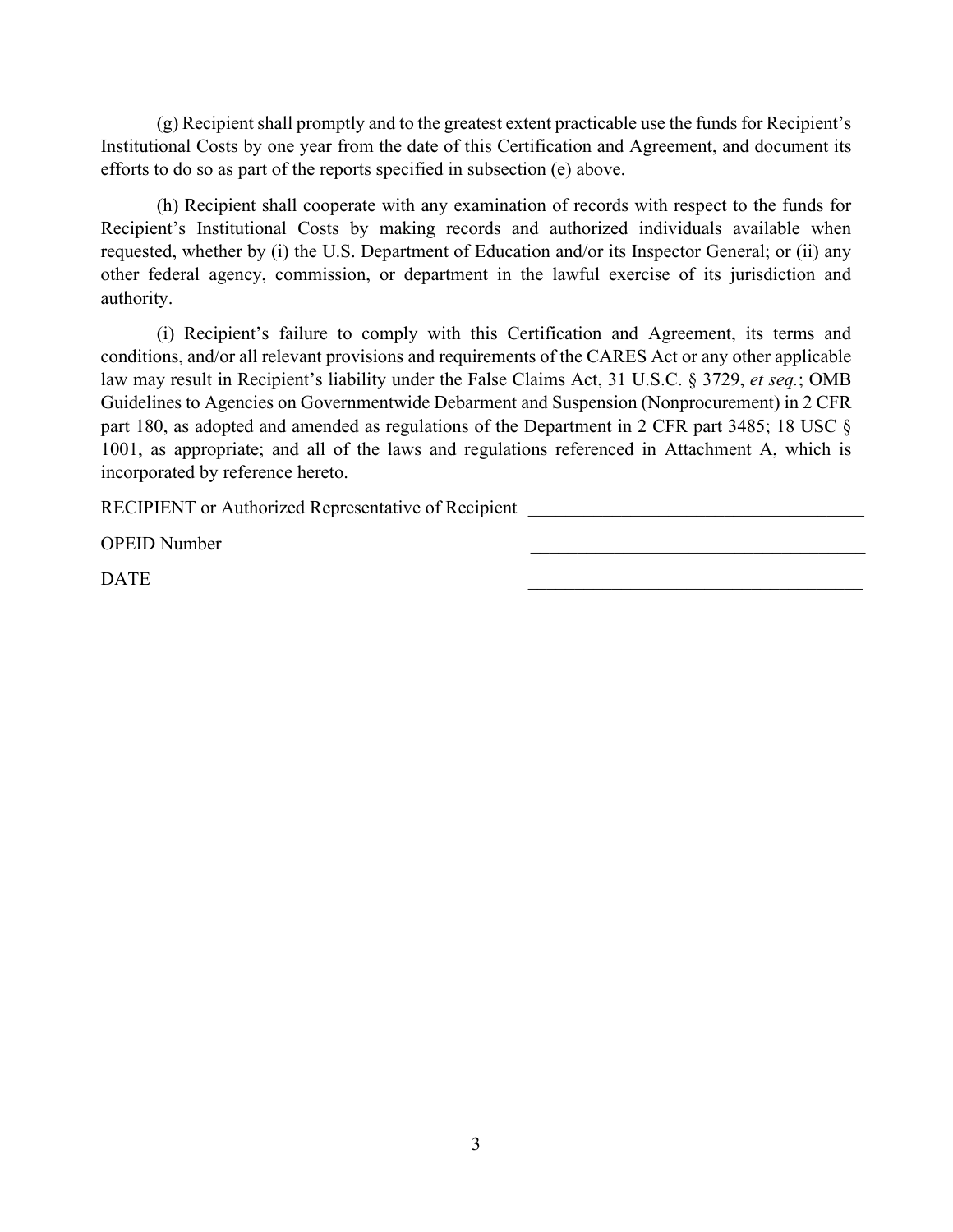(g) Recipient shall promptly and to the greatest extent practicable use the funds for Recipient's Institutional Costs by one year from the date of this Certification and Agreement, and document its efforts to do so as part of the reports specified in subsection (e) above.

 requested, whether by (i) the U.S. Department of Education and/or its Inspector General; or (ii) any (h) Recipient shall cooperate with any examination of records with respect to the funds for Recipient's Institutional Costs by making records and authorized individuals available when other federal agency, commission, or department in the lawful exercise of its jurisdiction and authority.

(i) Recipient's failure to comply with this Certification and Agreement, its terms and conditions, and/or all relevant provisions and requirements of the CARES Act or any other applicable law may result in Recipient's liability under the False Claims Act, 31 U.S.C. § 3729, *et seq.*; OMB Guidelines to Agencies on Governmentwide Debarment and Suspension (Nonprocurement) in 2 CFR part 180, as adopted and amended as regulations of the Department in 2 CFR part 3485; 18 USC § 1001, as appropriate; and all of the laws and regulations referenced in Attachment A, which is incorporated by reference hereto.

RECIPIENT or Authorized Representative of Recipient \_\_\_\_\_\_\_\_\_\_\_\_\_\_\_\_\_\_\_\_\_\_\_\_\_\_\_\_

OPEID Number and the contract of the contract of the contract of the contract of the contract of the contract of the contract of the contract of the contract of the contract of the contract of the contract of the contract

**DATE**  $\Box$